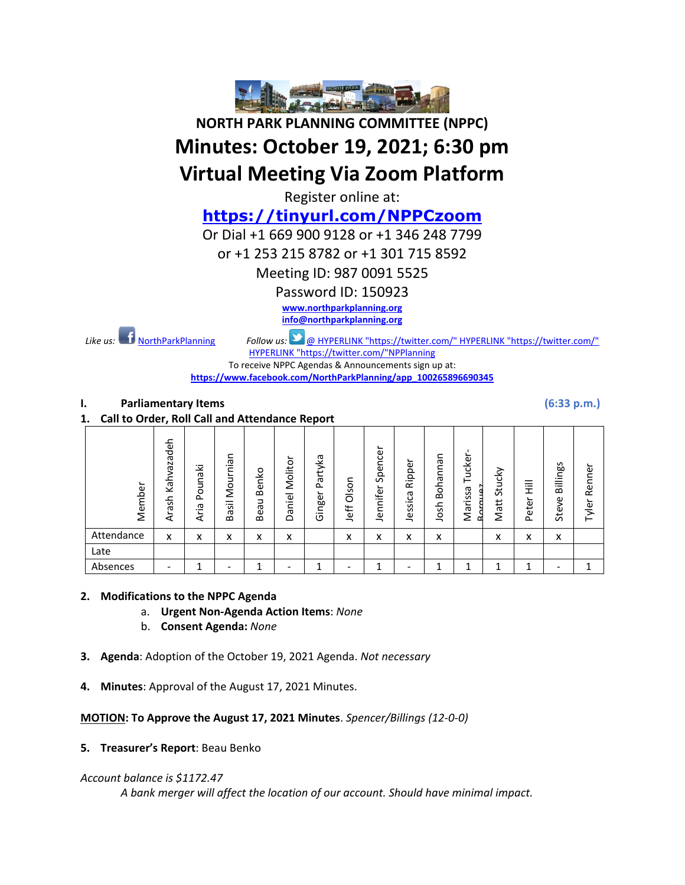

**NORTH PARK PLANNING COMMITTEE (NPPC)**

# **Minutes: October 19, 2021; 6:30 pm**

# **Virtual Meeting Via Zoom Platform**

Register online at:

**<https://tinyurl.com/NPPCzoom>**

Or Dial +1 669 900 9128 or +1 346 248 7799

or +1 253 215 8782 or +1 301 715 8592

Meeting ID: 987 0091 5525

Password ID: 150923

**[www.northparkplanning.org](http://www.northparkplanning.org/) [info@northparkplanning.org](mailto:info@northparkplanning.org)**

*Like us:* [NorthParkPlanning](http://www.facebook.com/NorthParkPlanning) *Follow us:* @ [HYPERLINK "https://twitter.com/" HYPERLINK "https://twitter.com/"](https://twitter.com/)  [HYPERLINK "https://twitter.com/"NPPlanning](https://twitter.com/)

To receive NPPC Agendas & Announcements sign up at: **[https://www.facebook.com/NorthParkPlanning/app\\_100265896690345](https://www.facebook.com/NorthParkPlanning/app_100265896690345)**

#### **I. Parliamentary Items (6:33 p.m.)**

**1. Call to Order, Roll Call and Attendance Report**

| Member     | Kahvazadeh<br>Arash      | Pounaki<br>ᡕᢐ<br>._<br>٦.<br>⋖ | ᠊ᢐ<br>$\cdot$ $-$<br>c<br>š<br>_<br>$\cdot$ $-$<br><b>S</b><br>᠊ᢆ<br>$\mathbf{a}$ | Benko<br>⊃<br>Bea | ∽<br>Molitor<br>–<br>ڡ.<br>Έ<br>≏ | Partyka<br>Ginger | Olson<br>Jeff | Spencer<br>$\overline{\phantom{0}}$<br>Jennifer | ∽<br>Ripper<br>ᡕᢐ<br>ت<br>._<br>$\mathbf{v}$<br>Ö)<br>نة<br>⇁ | Я<br>c<br>$\subset$<br>oha<br>$\Omega$<br>윿<br>o<br>⇁ | uckei<br>—<br>᠊ᡴᠦ<br>S<br>S<br>Έ<br>σ<br>Ξ<br>≃ | Stucky<br>Matt | 三王<br>Peter | Billings<br>Steve | Renner<br>Tyler |
|------------|--------------------------|--------------------------------|-----------------------------------------------------------------------------------|-------------------|-----------------------------------|-------------------|---------------|-------------------------------------------------|---------------------------------------------------------------|-------------------------------------------------------|-------------------------------------------------|----------------|-------------|-------------------|-----------------|
| Attendance | x                        | x                              | x                                                                                 | x                 | x                                 |                   | x             | x                                               | x                                                             | $\checkmark$<br>$\lambda$                             |                                                 | x              | x           | x                 |                 |
| Late       |                          |                                |                                                                                   |                   |                                   |                   |               |                                                 |                                                               |                                                       |                                                 |                |             |                   |                 |
| Absences   | $\overline{\phantom{0}}$ |                                |                                                                                   |                   |                                   |                   |               | ∸                                               |                                                               |                                                       |                                                 |                | л           |                   |                 |

#### **2. Modifications to the NPPC Agenda**

- a. **Urgent Non-Agenda Action Items**: *None*
- b. **Consent Agenda:** *None*
- **3. Agenda**: Adoption of the October 19, 2021 Agenda. *Not necessary*
- **4. Minutes**: Approval of the August 17, 2021 Minutes.

**MOTION: To Approve the August 17, 2021 Minutes**. *Spencer/Billings (12-0-0)*

**5. Treasurer's Report**: Beau Benko

#### *Account balance is \$1172.47*

*A bank merger will affect the location of our account. Should have minimal impact.*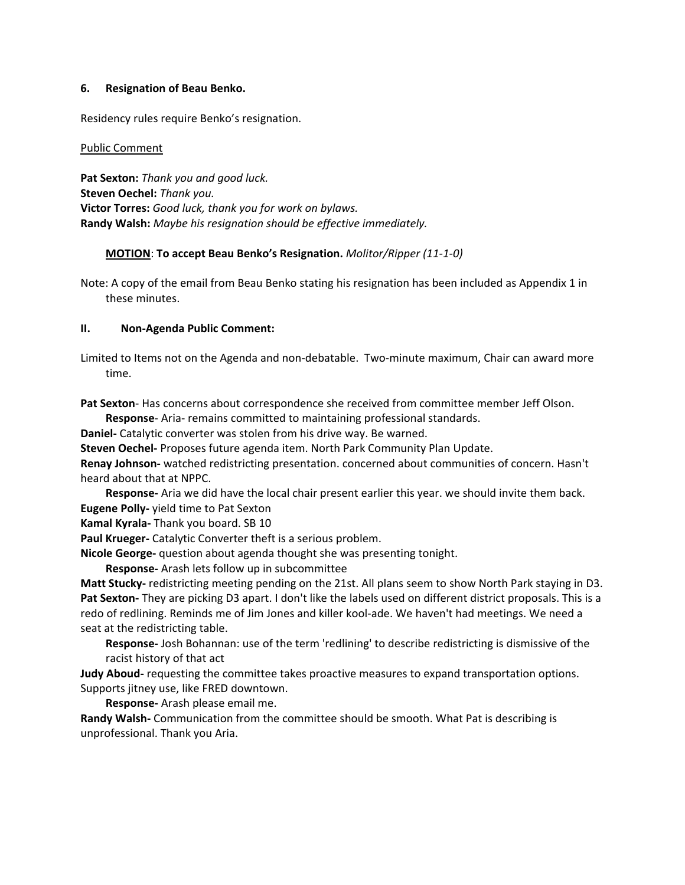#### **6. Resignation of Beau Benko.**

Residency rules require Benko's resignation.

#### Public Comment

**Pat Sexton:** *Thank you and good luck.* **Steven Oechel:** *Thank you.* **Victor Torres:** *Good luck, thank you for work on bylaws.* **Randy Walsh:** *Maybe his resignation should be effective immediately.*

#### **MOTION**: **To accept Beau Benko's Resignation.** *Molitor/Ripper (11-1-0)*

Note: A copy of the email from Beau Benko stating his resignation has been included as Appendix 1 in these minutes.

#### **II. Non-Agenda Public Comment:**

Limited to Items not on the Agenda and non-debatable. Two-minute maximum, Chair can award more time.

**Pat Sexton**- Has concerns about correspondence she received from committee member Jeff Olson.

**Response**- Aria- remains committed to maintaining professional standards.

**Daniel-** Catalytic converter was stolen from his drive way. Be warned.

**Steven Oechel-** Proposes future agenda item. North Park Community Plan Update.

**Renay Johnson-** watched redistricting presentation. concerned about communities of concern. Hasn't heard about that at NPPC.

**Response-** Aria we did have the local chair present earlier this year. we should invite them back. **Eugene Polly-** yield time to Pat Sexton

**Kamal Kyrala-** Thank you board. SB 10

**Paul Krueger-** Catalytic Converter theft is a serious problem.

**Nicole George-** question about agenda thought she was presenting tonight.

**Response-** Arash lets follow up in subcommittee

**Matt Stucky-** redistricting meeting pending on the 21st. All plans seem to show North Park staying in D3. **Pat Sexton-** They are picking D3 apart. I don't like the labels used on different district proposals. This is a redo of redlining. Reminds me of Jim Jones and killer kool-ade. We haven't had meetings. We need a seat at the redistricting table.

**Response-** Josh Bohannan: use of the term 'redlining' to describe redistricting is dismissive of the racist history of that act

**Judy Aboud-** requesting the committee takes proactive measures to expand transportation options. Supports jitney use, like FRED downtown.

**Response-** Arash please email me.

**Randy Walsh-** Communication from the committee should be smooth. What Pat is describing is unprofessional. Thank you Aria.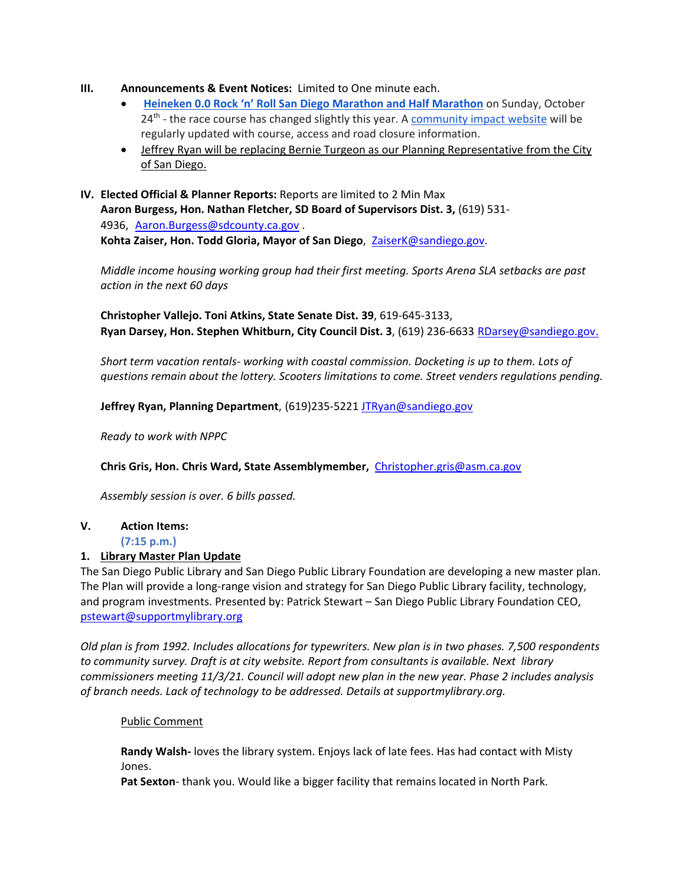- **III. Announcements & Event Notices:** Limited to One minute each.
	- **[Heineken 0.0 Rock 'n' Roll San Diego Marathon and Half Marathon](https://www.runrocknroll.com/san-diego?gclsrc=aw.ds&msclkid=4db5e7b2eacf1e95d15186e9a6dfd0f8)** on Sunday, October  $24<sup>th</sup>$  - the race course has changed slightly this year. [A community impact website](https://www.runrocknroll.com/san-diego-road-closure) will be regularly updated with course, access and road closure information.
	- Jeffrey Ryan will be replacing Bernie Turgeon as our Planning Representative from the City of San Diego.
- **IV. Elected Official & Planner Reports:** Reports are limited to 2 Min Max **Aaron Burgess, Hon. Nathan Fletcher, SD Board of Supervisors Dist. 3,** (619) 531- 4936, [Aaron.Burgess@sdcounty.ca.gov](mailto:Aaron.Burgess@sdcounty.ca.gov) . **Kohta Zaiser, Hon. Todd Gloria, Mayor of San Diego**, ZaiserK@sandiego.gov.

*Middle income housing working group had their first meeting. Sports Arena SLA setbacks are past action in the next 60 days*

**Christopher Vallejo. Toni Atkins, State Senate Dist. 39**, 619-645-3133, **Ryan Darsey, Hon. Stephen Whitburn, City Council Dist. 3**, (619) 236-6633 RDarsey@sandiego.gov.

*Short term vacation rentals- working with coastal commission. Docketing is up to them. Lots of questions remain about the lottery. Scooters limitations to come. Street venders regulations pending.* 

**Jeffrey Ryan, Planning Department**, (619)235-5221 [JTRyan@sandiego.gov](mailto:JTRyan@sandiego.gov)

*Ready to work with NPPC*

**Chris Gris, Hon. Chris Ward, State Assemblymember,** [Christopher.gris@asm.ca.gov](mailto:Christopher.gris@asm.ca.gov)

*Assembly session is over. 6 bills passed.* 

### **V. Action Items:**

**(7:15 p.m.)** 

#### **1. Library Master Plan Update**

The San Diego Public Library and San Diego Public Library Foundation are developing a new master plan. The Plan will provide a long-range vision and strategy for San Diego Public Library facility, technology, and program investments. Presented by: Patrick Stewart – San Diego Public Library Foundation CEO, [pstewart@supportmylibrary.org](mailto:pstewart@supportmylibrary.org)

*Old plan is from 1992. Includes allocations for typewriters. New plan is in two phases. 7,500 respondents to community survey. Draft is at city website. Report from consultants is available. Next library commissioners meeting 11/3/21. Council will adopt new plan in the new year. Phase 2 includes analysis of branch needs. Lack of technology to be addressed. Details at supportmylibrary.org.* 

#### Public Comment

**Randy Walsh-** loves the library system. Enjoys lack of late fees. Has had contact with Misty Jones.

**Pat Sexton**- thank you. Would like a bigger facility that remains located in North Park.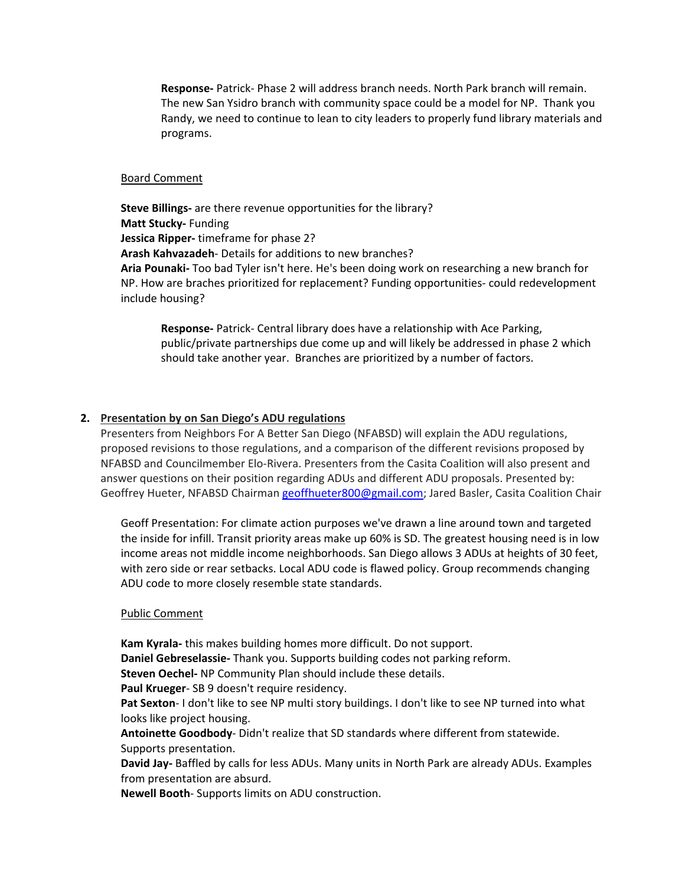**Response-** Patrick- Phase 2 will address branch needs. North Park branch will remain. The new San Ysidro branch with community space could be a model for NP. Thank you Randy, we need to continue to lean to city leaders to properly fund library materials and programs.

#### Board Comment

**Steve Billings-** are there revenue opportunities for the library? **Matt Stucky-** Funding **Jessica Ripper-** timeframe for phase 2? **Arash Kahvazadeh**- Details for additions to new branches? **Aria Pounaki-** Too bad Tyler isn't here. He's been doing work on researching a new branch for NP. How are braches prioritized for replacement? Funding opportunities- could redevelopment include housing?

**Response-** Patrick- Central library does have a relationship with Ace Parking, public/private partnerships due come up and will likely be addressed in phase 2 which should take another year. Branches are prioritized by a number of factors.

#### **2. Presentation by on San Diego's ADU regulations**

Presenters from Neighbors For A Better San Diego (NFABSD) will explain the ADU regulations, proposed revisions to those regulations, and a comparison of the different revisions proposed by NFABSD and Councilmember Elo-Rivera. Presenters from the Casita Coalition will also present and answer questions on their position regarding ADUs and different ADU proposals. Presented by: Geoffrey Hueter, NFABSD Chairman geoffhueter800@gmail.com; Jared Basler, Casita Coalition Chair

Geoff Presentation: For climate action purposes we've drawn a line around town and targeted the inside for infill. Transit priority areas make up 60% is SD. The greatest housing need is in low income areas not middle income neighborhoods. San Diego allows 3 ADUs at heights of 30 feet, with zero side or rear setbacks. Local ADU code is flawed policy. Group recommends changing ADU code to more closely resemble state standards.

#### Public Comment

**Kam Kyrala-** this makes building homes more difficult. Do not support.

**Daniel Gebreselassie-** Thank you. Supports building codes not parking reform.

**Steven Oechel-** NP Community Plan should include these details.

**Paul Krueger**- SB 9 doesn't require residency.

Pat Sexton- I don't like to see NP multi story buildings. I don't like to see NP turned into what looks like project housing.

**Antoinette Goodbody**- Didn't realize that SD standards where different from statewide. Supports presentation.

**David Jay-** Baffled by calls for less ADUs. Many units in North Park are already ADUs. Examples from presentation are absurd.

**Newell Booth**- Supports limits on ADU construction.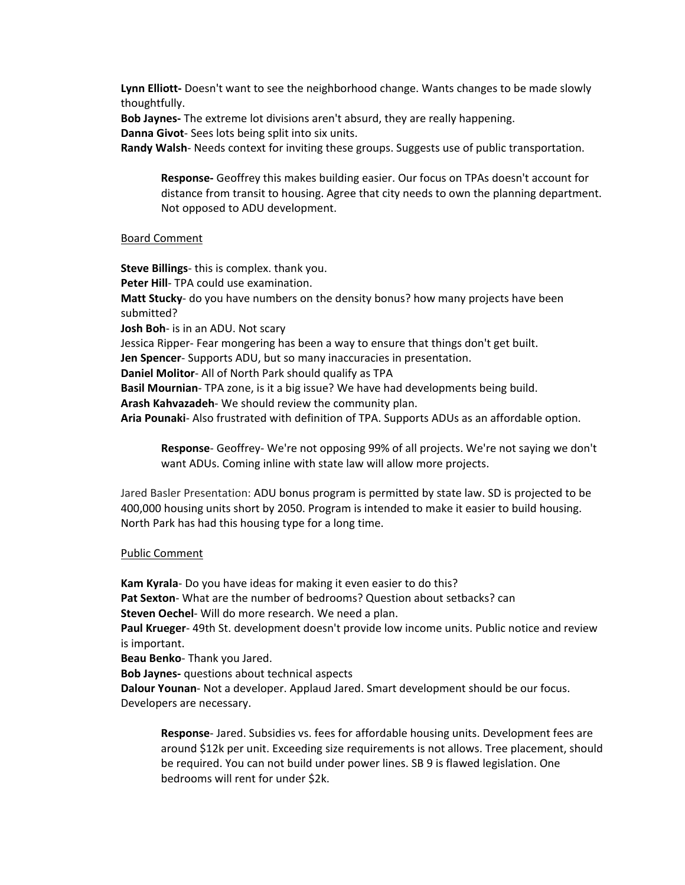**Lynn Elliott-** Doesn't want to see the neighborhood change. Wants changes to be made slowly thoughtfully.

**Bob Jaynes-** The extreme lot divisions aren't absurd, they are really happening. **Danna Givot**- Sees lots being split into six units.

**Randy Walsh**- Needs context for inviting these groups. Suggests use of public transportation.

**Response-** Geoffrey this makes building easier. Our focus on TPAs doesn't account for distance from transit to housing. Agree that city needs to own the planning department. Not opposed to ADU development.

#### Board Comment

**Steve Billings**- this is complex. thank you. **Peter Hill**- TPA could use examination. **Matt Stucky**- do you have numbers on the density bonus? how many projects have been submitted? **Josh Boh**- is in an ADU. Not scary Jessica Ripper- Fear mongering has been a way to ensure that things don't get built. **Jen Spencer**- Supports ADU, but so many inaccuracies in presentation. **Daniel Molitor**- All of North Park should qualify as TPA **Basil Mournian**- TPA zone, is it a big issue? We have had developments being build. **Arash Kahvazadeh**- We should review the community plan. **Aria Pounaki**- Also frustrated with definition of TPA. Supports ADUs as an affordable option.

**Response**- Geoffrey- We're not opposing 99% of all projects. We're not saying we don't want ADUs. Coming inline with state law will allow more projects.

Jared Basler Presentation: ADU bonus program is permitted by state law. SD is projected to be 400,000 housing units short by 2050. Program is intended to make it easier to build housing. North Park has had this housing type for a long time.

#### Public Comment

**Kam Kyrala**- Do you have ideas for making it even easier to do this? **Pat Sexton**- What are the number of bedrooms? Question about setbacks? can **Steven Oechel**- Will do more research. We need a plan. **Paul Krueger**- 49th St. development doesn't provide low income units. Public notice and review is important. **Beau Benko**- Thank you Jared. **Bob Jaynes-** questions about technical aspects **Dalour Younan**- Not a developer. Applaud Jared. Smart development should be our focus. Developers are necessary.

**Response**- Jared. Subsidies vs. fees for affordable housing units. Development fees are around \$12k per unit. Exceeding size requirements is not allows. Tree placement, should be required. You can not build under power lines. SB 9 is flawed legislation. One bedrooms will rent for under \$2k.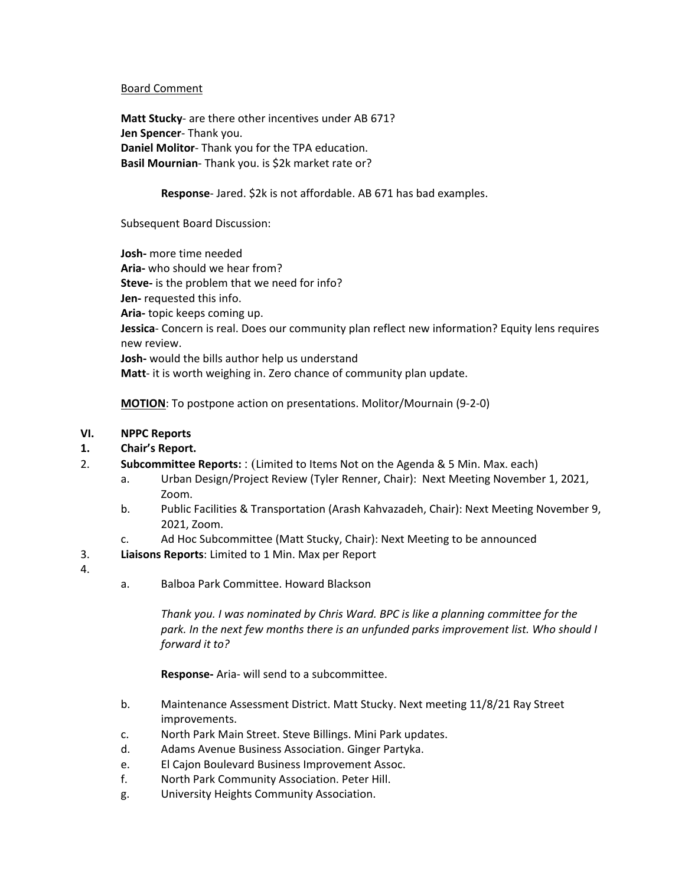#### Board Comment

**Matt Stucky**- are there other incentives under AB 671? **Jen Spencer**- Thank you. **Daniel Molitor**- Thank you for the TPA education. **Basil Mournian**- Thank you. is \$2k market rate or?

#### **Response**- Jared. \$2k is not affordable. AB 671 has bad examples.

Subsequent Board Discussion:

**Josh-** more time needed **Aria-** who should we hear from? **Steve-** is the problem that we need for info? **Jen-** requested this info. **Aria-** topic keeps coming up. **Jessica**- Concern is real. Does our community plan reflect new information? Equity lens requires new review. **Josh-** would the bills author help us understand **Matt**- it is worth weighing in. Zero chance of community plan update.

**MOTION**: To postpone action on presentations. Molitor/Mournain (9-2-0)

#### **VI. NPPC Reports**

#### **1. Chair's Report.**

- 2. **Subcommittee Reports:** : (Limited to Items Not on the Agenda & 5 Min. Max. each)
	- a. Urban Design/Project Review (Tyler Renner, Chair): Next Meeting November 1, 2021, Zoom.
	- b. Public Facilities & Transportation (Arash Kahvazadeh, Chair): Next Meeting November 9, 2021, Zoom.
	- c. Ad Hoc Subcommittee (Matt Stucky, Chair): Next Meeting to be announced
- 3. **Liaisons Reports**: Limited to 1 Min. Max per Report
- 4.
- a. Balboa Park Committee. Howard Blackson

*Thank you. I was nominated by Chris Ward. BPC is like a planning committee for the park. In the next few months there is an unfunded parks improvement list. Who should I forward it to?* 

**Response-** Aria- will send to a subcommittee.

- b. Maintenance Assessment District. Matt Stucky. Next meeting 11/8/21 Ray Street improvements.
- c. North Park Main Street. Steve Billings. Mini Park updates.
- d. Adams Avenue Business Association. Ginger Partyka.
- e. El Cajon Boulevard Business Improvement Assoc.
- f. North Park Community Association. Peter Hill.
- g. University Heights Community Association.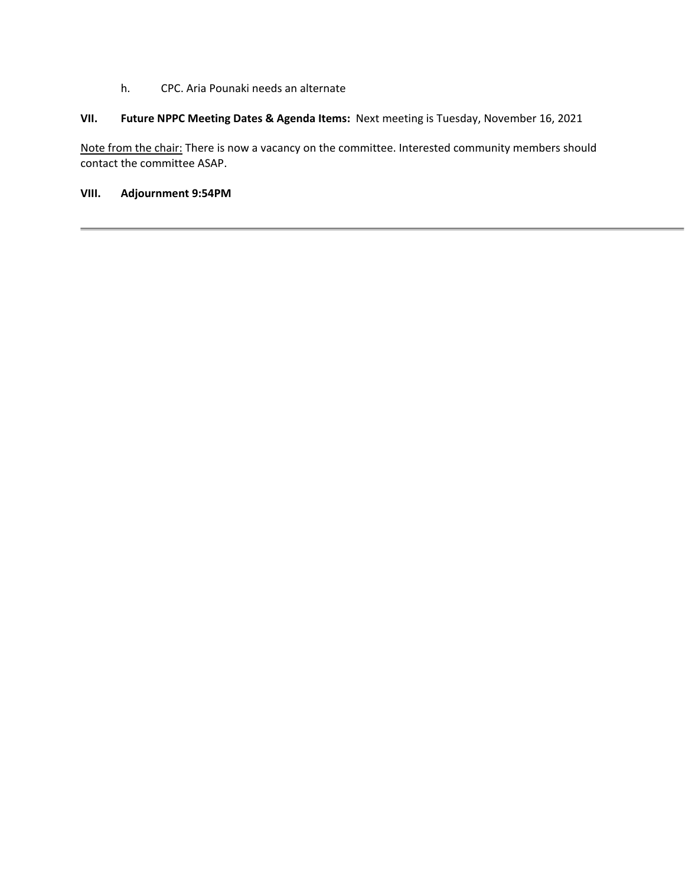h. CPC. Aria Pounaki needs an alternate

## **VII. Future NPPC Meeting Dates & Agenda Items:** Next meeting is Tuesday, November 16, 2021

Note from the chair: There is now a vacancy on the committee. Interested community members should contact the committee ASAP.

## **VIII. Adjournment 9:54PM**